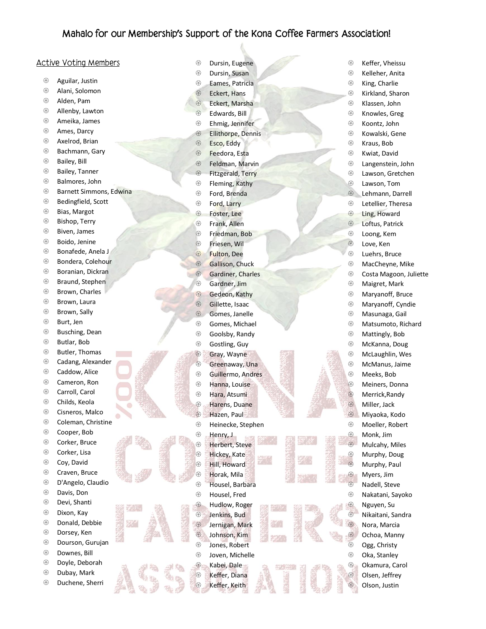## Mahalo for our Membership's Support of the Kona Coffee Farmers Association!

## **Active Voting Members**

- Aguilar, Justin
- Alani, Solomon
- Alden, Pam
- Allenby, Lawton
- Ameika, James
- **<sup><sup>3</sup>**</sup> Ames, Darcy
- Axelrod, Brian
- <sup>3</sup> Bachmann, Gary
- **Bailey**, Bill
- **Bailey**, Tanner
- Balmores, John
- **Barnett Simmons, Edwina**
- **Bedingfield, Scott**
- Bias, Margot
- **Bishop, Terry**
- Biven, James
- Boido, Jenine
- Bonafede, Anela J
- Bondera, Colehour
- <sup>3</sup> Boranian, Dickran
- <sup>®</sup> Braund, Stephen
- <sup>3</sup> Brown, Charles
- <sup>®</sup> Brown, Laura
- <sup>3</sup> Brown, Sally
- Burt, Jen
- <sup>®</sup> Busching, Dean
- Butlar, Bob
- Butler, Thomas
- Cadang, Alexander
- **<sup><sup>3</sup>**</sup> Caddow, Alice
- Cameron, Ron
- Carroll, Carol
- Childs, Keola
- **<sup>®</sup>** Cisneros, Malco
- **<sup>®</sup>** Coleman, Christine
- Cooper, Bob
- **<sup><sup>3</sup>**</sup> Corker, Bruce
- **<sup><sup>®</sup>**</sup> Corker, Lisa
- <sup>3</sup> Coy, David
- <sup>3</sup> Craven, Bruce
- D'Angelo, Claudio
- Davis, Don
- Devi, Shanti
- Dixon, Kay
- Donald, Debbie
- Dorsey, Ken
- Dourson, Gurujan
- Downes, Bill
- Doyle, Deborah
- Dubay, Mark
- Duchene, Sherri

Dursin, Eugene

**<sup>®</sup>** Keffer, Vheissu **<sup>®</sup>** Kelleher, Anita **& King, Charlie**  Kirkland, Sharon Klassen, John Knowles, Greg Koontz, John **<sup>®</sup>** Kowalski, Gene Kraus, Bob Kwiat, David Langenstein, John Lawson, Gretchen Lawson, Tom Lehmann, Darrell Letellier, Theresa <sup><sup>®</sup> Ling, Howard</sup> **<sup><sup>8</sup>**</sup> Loftus, Patrick Loong, Kem **B** Love, Ken Luehrs, Bruce MacCheyne, Mike **<sup>®</sup>** Costa Magoon, Juliette

 Maigret, Mark Maryanoff, Bruce Maryanoff, Cyndie Masunaga, Gail Matsumoto, Richard Mattingly, Bob McKanna, Doug McLaughlin, Wes McManus, Jaime Meeks, Bob Meiners, Donna **B** Merrick, Randy Miller, Jack Miyaoka, Kodo Moeller, Robert <sup><sup>④</sup> Monk, Jim</sup> **<sup><sup>3</sup>**</sup> Mulcahy, Miles <sup>3</sup> Murphy, Doug **<sup>®</sup>** Murphy, Paul **<sup><sup>3</sup>**</sup> Myers, Jim **<sup><sup>®</sup>** Nadell, Steve</sup> Nakatani, Sayoko <sup><sup>®</sup> Nguyen, Su</sup> Nikaitani, Sandra Nora, Marcia Ochoa, Manny **<sup>®</sup>** Ogg, Christy Oka, Stanley Okamura, Carol Olsen, Jeffrey Olson, Justin

- Dursin, Susan
- Eames, Patricia
- <sup><sup>®</sup> Eckert, Hans</sup>
- <sup><sup>®</sup> Eckert, Marsha</sup>
- **B** Edwards, Bill
- Ehmig, Jennifer
- <sup>®</sup> Ellithorpe, Dennis
- Esco, Eddy
- <sup><sup>®</sup> Feedora, Esta</sup>
- **<sup><sup>®</sup>**</sup> Feldman, Marvin
- **S** Fitzgerald, Terry
- **<sup><sup>®</sup>**</sup> Fleming, Kathy
- Ford, Brenda
- **S** Ford, Larry
- **B** Foster, Lee
- **<sup><sup>®</sup>**</sup> Frank, Allen
- Friedman, Bob
- Friesen, Wil
- **&** Fulton, Dee
- **Gallison, Chuck**
- **Gardiner**, Charles
- Gardner, Jim
- **Gedeon, Kathy**
- **S** Gillette, Isaac
- Gomes, Janelle
- <sup>3</sup> Gomes, Michael
- Goolsby, Randy
- Gostling, Guy
- Gray, Wayne
- <sup>®</sup> Greenaway, Una
- Guillermo, Andres
- **S** Hanna, Louise
- **<sup><sup>3</sup>**</sup> Hara, Atsumi
- **S** Harens, Duane
- <sup><sup>®</sup> Hazen, Paul</sup>
- **<sup>®</sup>** Heinecke, Stephen
- **<sup><sup>3</sup>**</sup> Henry, J
- Herbert, Steve
- **B** Hickey, Kate
- Hill, Howard
- Horak, Mila
- Housel, Barbara
- Housel, Fred
- **<sup><sup>3</sup>**</sup> Hudlow, Roger Jenkins, Bud
- Jernigan, Mark
- Johnson, Kim Jones, Robert

**<sup>5</sup>** Joven, Michelle Kabei, Dale Keffer, Diana **&** Keffer, Keith